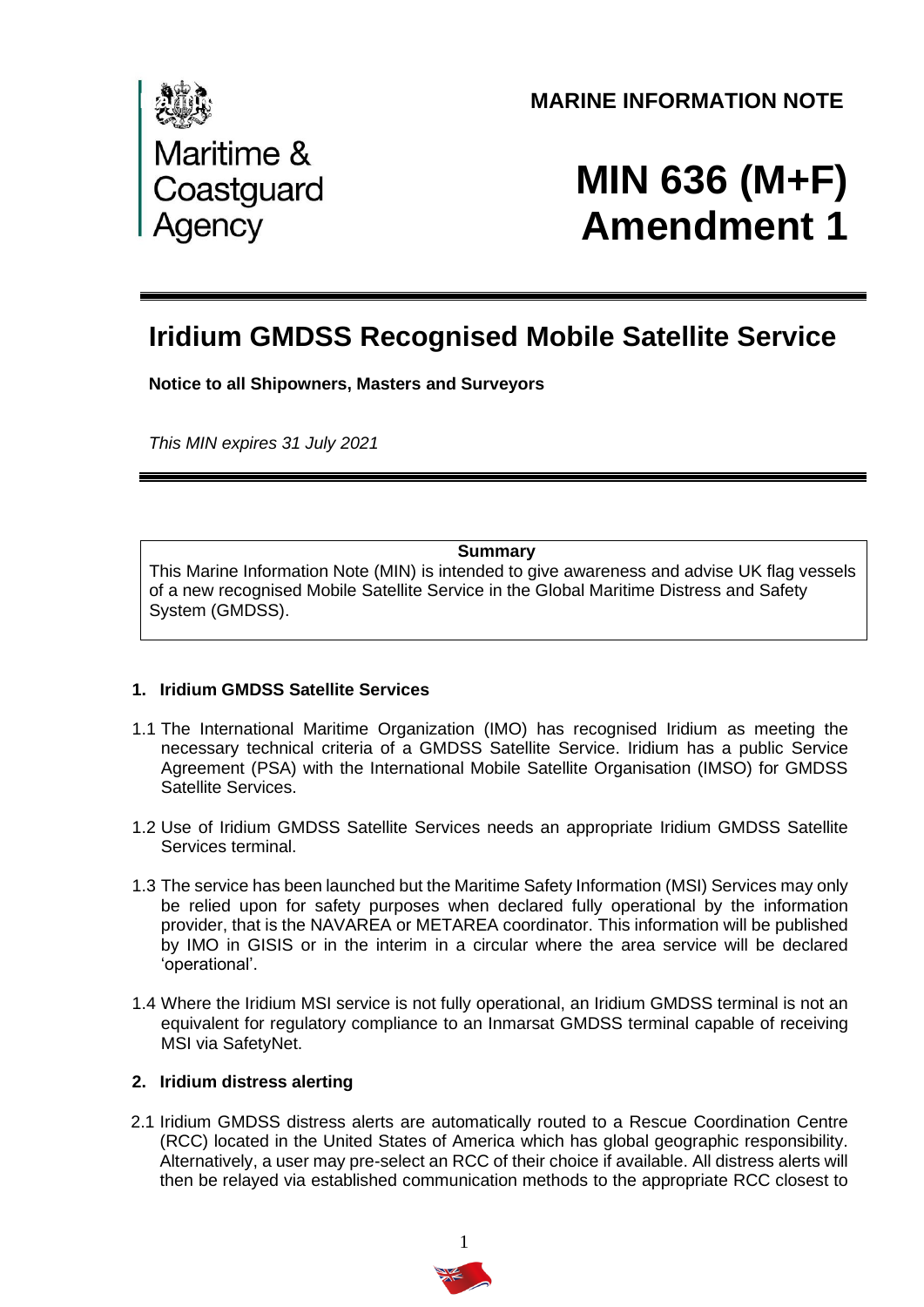

## **MARINE INFORMATION NOTE**

# **MIN 636 (M+F) Amendment 1**

# **Iridium GMDSS Recognised Mobile Satellite Service**

**Notice to all Shipowners, Masters and Surveyors**

*This MIN expires 31 July 2021*

#### **Summary**

This Marine Information Note (MIN) is intended to give awareness and advise UK flag vessels of a new recognised Mobile Satellite Service in the Global Maritime Distress and Safety System (GMDSS).

#### **1. Iridium GMDSS Satellite Services**

- 1.1 The International Maritime Organization (IMO) has recognised Iridium as meeting the necessary technical criteria of a GMDSS Satellite Service. Iridium has a public Service Agreement (PSA) with the International Mobile Satellite Organisation (IMSO) for GMDSS Satellite Services.
- 1.2 Use of Iridium GMDSS Satellite Services needs an appropriate Iridium GMDSS Satellite Services terminal.
- 1.3 The service has been launched but the Maritime Safety Information (MSI) Services may only be relied upon for safety purposes when declared fully operational by the information provider, that is the NAVAREA or METAREA coordinator. This information will be published by IMO in GISIS or in the interim in a circular where the area service will be declared 'operational'.
- 1.4 Where the Iridium MSI service is not fully operational, an Iridium GMDSS terminal is not an equivalent for regulatory compliance to an Inmarsat GMDSS terminal capable of receiving MSI via SafetyNet.

#### **2. Iridium distress alerting**

2.1 Iridium GMDSS distress alerts are automatically routed to a Rescue Coordination Centre (RCC) located in the United States of America which has global geographic responsibility. Alternatively, a user may pre-select an RCC of their choice if available. All distress alerts will then be relayed via established communication methods to the appropriate RCC closest to

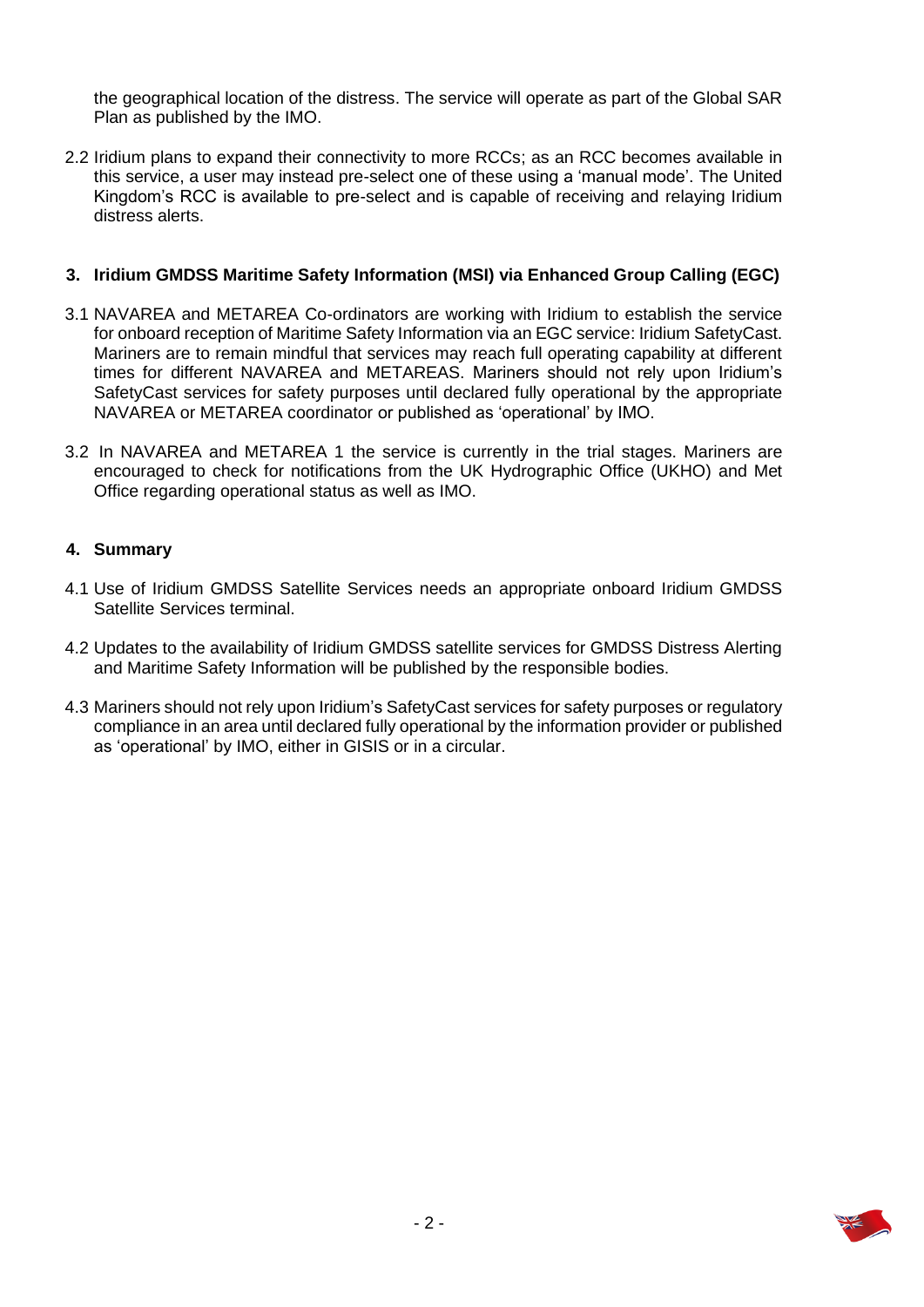the geographical location of the distress. The service will operate as part of the Global SAR Plan as published by the IMO.

2.2 Iridium plans to expand their connectivity to more RCCs; as an RCC becomes available in this service, a user may instead pre-select one of these using a 'manual mode'. The United Kingdom's RCC is available to pre-select and is capable of receiving and relaying Iridium distress alerts.

#### **3. Iridium GMDSS Maritime Safety Information (MSI) via Enhanced Group Calling (EGC)**

- 3.1 NAVAREA and METAREA Co-ordinators are working with Iridium to establish the service for onboard reception of Maritime Safety Information via an EGC service: Iridium SafetyCast. Mariners are to remain mindful that services may reach full operating capability at different times for different NAVAREA and METAREAS. Mariners should not rely upon Iridium's SafetyCast services for safety purposes until declared fully operational by the appropriate NAVAREA or METAREA coordinator or published as 'operational' by IMO.
- 3.2 In NAVAREA and METAREA 1 the service is currently in the trial stages. Mariners are encouraged to check for notifications from the UK Hydrographic Office (UKHO) and Met Office regarding operational status as well as IMO.

#### **4. Summary**

- 4.1 Use of Iridium GMDSS Satellite Services needs an appropriate onboard Iridium GMDSS Satellite Services terminal.
- 4.2 Updates to the availability of Iridium GMDSS satellite services for GMDSS Distress Alerting and Maritime Safety Information will be published by the responsible bodies.
- 4.3 Mariners should not rely upon Iridium's SafetyCast services for safety purposes or regulatory compliance in an area until declared fully operational by the information provider or published as 'operational' by IMO, either in GISIS or in a circular.